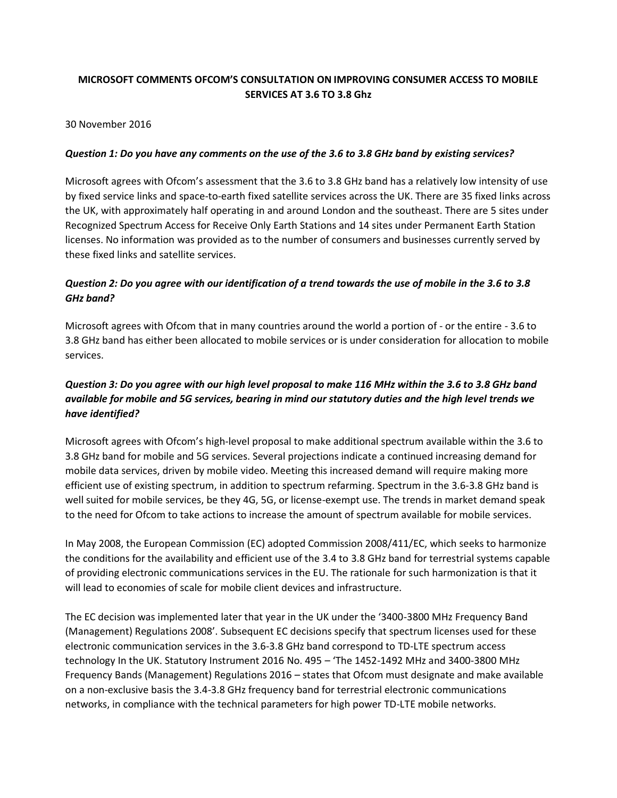# **MICROSOFT COMMENTS OFCOM'S CONSULTATION ON IMPROVING CONSUMER ACCESS TO MOBILE SERVICES AT 3.6 TO 3.8 Ghz**

#### 30 November 2016

#### *Question 1: Do you have any comments on the use of the 3.6 to 3.8 GHz band by existing services?*

Microsoft agrees with Ofcom's assessment that the 3.6 to 3.8 GHz band has a relatively low intensity of use by fixed service links and space-to-earth fixed satellite services across the UK. There are 35 fixed links across the UK, with approximately half operating in and around London and the southeast. There are 5 sites under Recognized Spectrum Access for Receive Only Earth Stations and 14 sites under Permanent Earth Station licenses. No information was provided as to the number of consumers and businesses currently served by these fixed links and satellite services.

### *Question 2: Do you agree with our identification of a trend towards the use of mobile in the 3.6 to 3.8 GHz band?*

Microsoft agrees with Ofcom that in many countries around the world a portion of - or the entire - 3.6 to 3.8 GHz band has either been allocated to mobile services or is under consideration for allocation to mobile services.

# *Question 3: Do you agree with our high level proposal to make 116 MHz within the 3.6 to 3.8 GHz band available for mobile and 5G services, bearing in mind our statutory duties and the high level trends we have identified?*

Microsoft agrees with Ofcom's high-level proposal to make additional spectrum available within the 3.6 to 3.8 GHz band for mobile and 5G services. Several projections indicate a continued increasing demand for mobile data services, driven by mobile video. Meeting this increased demand will require making more efficient use of existing spectrum, in addition to spectrum refarming. Spectrum in the 3.6-3.8 GHz band is well suited for mobile services, be they 4G, 5G, or license-exempt use. The trends in market demand speak to the need for Ofcom to take actions to increase the amount of spectrum available for mobile services.

In May 2008, the European Commission (EC) adopted Commission 2008/411/EC, which seeks to harmonize the conditions for the availability and efficient use of the 3.4 to 3.8 GHz band for terrestrial systems capable of providing electronic communications services in the EU. The rationale for such harmonization is that it will lead to economies of scale for mobile client devices and infrastructure.

The EC decision was implemented later that year in the UK under the '3400-3800 MHz Frequency Band (Management) Regulations 2008'. Subsequent EC decisions specify that spectrum licenses used for these electronic communication services in the 3.6-3.8 GHz band correspond to TD-LTE spectrum access technology In the UK. Statutory Instrument 2016 No. 495 – 'The 1452-1492 MHz and 3400-3800 MHz Frequency Bands (Management) Regulations 2016 – states that Ofcom must designate and make available on a non-exclusive basis the 3.4-3.8 GHz frequency band for terrestrial electronic communications networks, in compliance with the technical parameters for high power TD-LTE mobile networks.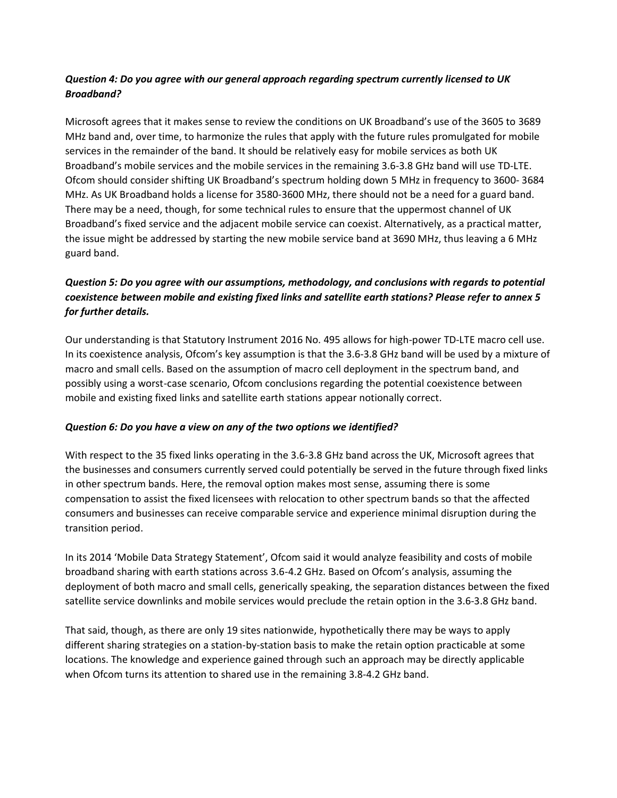### *Question 4: Do you agree with our general approach regarding spectrum currently licensed to UK Broadband?*

Microsoft agrees that it makes sense to review the conditions on UK Broadband's use of the 3605 to 3689 MHz band and, over time, to harmonize the rules that apply with the future rules promulgated for mobile services in the remainder of the band. It should be relatively easy for mobile services as both UK Broadband's mobile services and the mobile services in the remaining 3.6-3.8 GHz band will use TD-LTE. Ofcom should consider shifting UK Broadband's spectrum holding down 5 MHz in frequency to 3600- 3684 MHz. As UK Broadband holds a license for 3580-3600 MHz, there should not be a need for a guard band. There may be a need, though, for some technical rules to ensure that the uppermost channel of UK Broadband's fixed service and the adjacent mobile service can coexist. Alternatively, as a practical matter, the issue might be addressed by starting the new mobile service band at 3690 MHz, thus leaving a 6 MHz guard band.

### *Question 5: Do you agree with our assumptions, methodology, and conclusions with regards to potential coexistence between mobile and existing fixed links and satellite earth stations? Please refer to annex 5 for further details.*

Our understanding is that Statutory Instrument 2016 No. 495 allows for high-power TD-LTE macro cell use. In its coexistence analysis, Ofcom's key assumption is that the 3.6-3.8 GHz band will be used by a mixture of macro and small cells. Based on the assumption of macro cell deployment in the spectrum band, and possibly using a worst-case scenario, Ofcom conclusions regarding the potential coexistence between mobile and existing fixed links and satellite earth stations appear notionally correct.

#### *Question 6: Do you have a view on any of the two options we identified?*

With respect to the 35 fixed links operating in the 3.6-3.8 GHz band across the UK, Microsoft agrees that the businesses and consumers currently served could potentially be served in the future through fixed links in other spectrum bands. Here, the removal option makes most sense, assuming there is some compensation to assist the fixed licensees with relocation to other spectrum bands so that the affected consumers and businesses can receive comparable service and experience minimal disruption during the transition period.

In its 2014 'Mobile Data Strategy Statement', Ofcom said it would analyze feasibility and costs of mobile broadband sharing with earth stations across 3.6-4.2 GHz. Based on Ofcom's analysis, assuming the deployment of both macro and small cells, generically speaking, the separation distances between the fixed satellite service downlinks and mobile services would preclude the retain option in the 3.6-3.8 GHz band.

That said, though, as there are only 19 sites nationwide, hypothetically there may be ways to apply different sharing strategies on a station-by-station basis to make the retain option practicable at some locations. The knowledge and experience gained through such an approach may be directly applicable when Ofcom turns its attention to shared use in the remaining 3.8-4.2 GHz band.